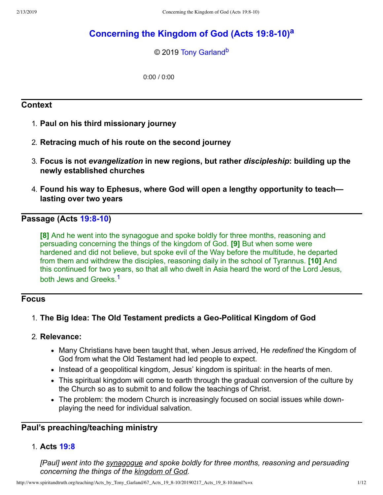# **[Concerning](http://www.spiritandtruth.org/teaching/Acts_by_Tony_Garland/67_Acts_19_8-10/index.htm) the Kingdom of God (Acts 19:810) [a](#page-11-0)**

### <span id="page-0-2"></span><span id="page-0-1"></span>© 2019 [Tony Garland](http://www.spiritandtruth.org/id/tg.htm)<sup>[b](#page-11-1)</sup>

0:00 / 0:00

# **Context**

- 1. **Paul on his third missionary journey**
- 2. **Retracing much of his route on the second journey**
- 3. **Focus is not** *evangelization* **in new regions, but rather** *discipleship***: building up the newly established churches**
- 4. **Found his way to Ephesus, where God will open a lengthy opportunity to teach lasting over two years**

### **Passage (Acts [19:810\)](http://www.spiritandtruth.org/bibles/nasb/b44c019.htm#Acts_C19V8)**

<span id="page-0-0"></span>**[8]** And he went into the synagogue and spoke boldly for three months, reasoning and persuading concerning the things of the kingdom of God. **[9]** But when some were hardened and did not believe, but spoke evil of the Way before the multitude, he departed from them and withdrew the disciples, reasoning daily in the school of Tyrannus. **[10]** And this continued for two years, so that all who dwelt in Asia heard the word of the Lord Jesus, both Jews and Greeks.<sup>[1](#page-11-2)</sup>

### **Focus**

# 1. **The Big Idea: The Old Testament predicts a GeoPolitical Kingdom of God**

#### 2. **Relevance:**

- Many Christians have been taught that, when Jesus arrived, He *redefined* the Kingdom of God from what the Old Testament had led people to expect.
- Instead of a geopolitical kingdom, Jesus' kingdom is spiritual: in the hearts of men.
- This spiritual kingdom will come to earth through the gradual conversion of the culture by the Church so as to submit to and follow the teachings of Christ.
- The problem: the modern Church is increasingly focused on social issues while downplaying the need for individual salvation.

# **Paul's preaching/teaching ministry**

#### 1. **Acts [19:8](http://www.spiritandtruth.org/bibles/nasb/b44c019.htm#Acts_C19V8)**

*[Paul] went into the synagogue and spoke boldly for three months, reasoning and persuading concerning the things of the kingdom of God.*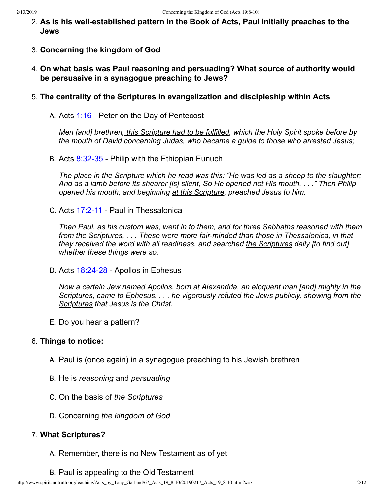- 2. **As is his wellestablished pattern in the Book of Acts, Paul initially preaches to the Jews**
- 3. **Concerning the kingdom of God**
- 4. **On what basis was Paul reasoning and persuading? What source of authority would be persuasive in a synagogue preaching to Jews?**
- 5. **The centrality of the Scriptures in evangelization and discipleship within Acts**
	- A. Acts [1:16](http://www.spiritandtruth.org/bibles/nasb/b44c001.htm#Acts_C1V16) Peter on the Day of Pentecost

*Men [and] brethren, this Scripture had to be fulfilled, which the Holy Spirit spoke before by the mouth of David concerning Judas, who became a guide to those who arrested Jesus;*

B. Acts  $8:32-35$  - Philip with the Ethiopian Eunuch

*The place in the Scripture which he read was this: "He was led as a sheep to the slaughter; And as a lamb before its shearer [is] silent, So He opened not His mouth. . . ." Then Philip opened his mouth, and beginning at this Scripture, preached Jesus to him.*

C. Acts 17:2-11 - Paul in Thessalonica

*Then Paul, as his custom was, went in to them, and for three Sabbaths reasoned with them from the Scriptures, ...* These were more fair-minded than those in Thessalonica, in that *they received the word with all readiness, and searched the Scriptures daily [to find out] whether these things were so.*

D. Acts  $18:24-28$  - Apollos in Ephesus

*Now a certain Jew named Apollos, born at Alexandria, an eloquent man [and] mighty in the Scriptures, came to Ephesus. . . . he vigorously refuted the Jews publicly, showing from the Scriptures that Jesus is the Christ.*

E. Do you hear a pattern?

# 6. **Things to notice:**

- A. Paul is (once again) in a synagogue preaching to his Jewish brethren
- B. He is *reasoning* and *persuading*
- C. On the basis of *the Scriptures*
- D. Concerning *the kingdom of God*

# 7. **What Scriptures?**

- A. Remember, there is no New Testament as of yet
- B. Paul is appealing to the Old Testament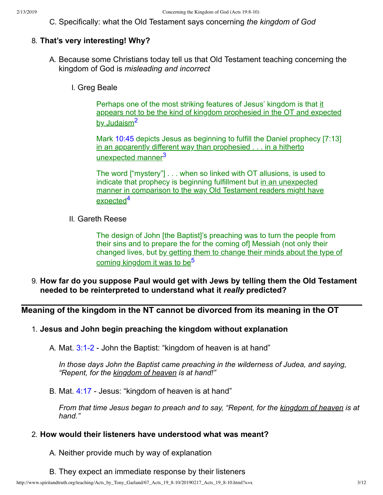C. Specifically: what the Old Testament says concerning *the kingdom of God*

# 8. **That's very interesting! Why?**

- A. Because some Christians today tell us that Old Testament teaching concerning the kingdom of God is *misleading and incorrect*
	- I. Greg Beale

<span id="page-2-0"></span>Perhaps one of the most striking features of Jesus' kingdom is that it appears not to be the kind of kingdom prophesied in the OT and expected by Judaism<sup>[2](#page-11-3)</sup>

<span id="page-2-1"></span>Mark [10:45](http://www.spiritandtruth.org/bibles/nasb/b41c010.htm#Mark_C10V45) depicts Jesus as beginning to fulfill the Daniel prophecy [7:13] in an apparently different way than prophesied . . . in a hitherto unexpected manner<sup>[3](#page-11-4)</sup>

<span id="page-2-2"></span>The word ["mystery"] . . . when so linked with OT allusions, is used to indicate that prophecy is beginning fulfillment but in an unexpected manner in comparison to the way Old Testament readers might have expected<sup>[4](#page-11-5)</sup>

II. Gareth Reese

<span id="page-2-3"></span>The design of John [the Baptist]'s preaching was to turn the people from their sins and to prepare the for the coming of] Messiah (not only their changed lives, but by getting them to change their minds about the type of coming kingdom it was to be<sup>[5](#page-11-6)</sup>

9. **How far do you suppose Paul would get with Jews by telling them the Old Testament needed to be reinterpreted to understand what it** *really* **predicted?**

**Meaning of the kingdom in the NT cannot be divorced from its meaning in the OT**

- 1. **Jesus and John begin preaching the kingdom without explanation**
	- A. Mat. 3:1-2 John the Baptist: "kingdom of heaven is at hand"

*In those days John the Baptist came preaching in the wilderness of Judea, and saying, "Repent, for the kingdom of heaven is at hand!"*

B. Mat. [4:17](http://www.spiritandtruth.org/bibles/nasb/b40c004.htm#Mat._C4V17) Jesus: "kingdom of heaven is at hand"

*From that time Jesus began to preach and to say, "Repent, for the kingdom of heaven is at hand."*

#### 2. **How would their listeners have understood what was meant?**

- A. Neither provide much by way of explanation
- B. They expect an immediate response by their listeners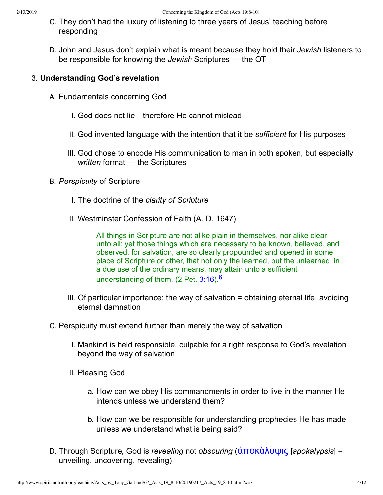- C. They don't had the luxury of listening to three years of Jesus' teaching before responding
- D. John and Jesus don't explain what is meant because they hold their *Jewish* listeners to be responsible for knowing the *Jewish* Scriptures — the OT

# 3. **Understanding God's revelation**

- A. Fundamentals concerning God
	- I. God does not lie—therefore He cannot mislead
	- II. God invented language with the intention that it be *sufficient* for His purposes
	- III. God chose to encode His communication to man in both spoken, but especially *written* format — the Scriptures
- B. *Perspicuity* of Scripture
	- I. The doctrine of the *clarity of Scripture*
	- II. Westminster Confession of Faith (A. D. 1647)

<span id="page-3-0"></span>All things in Scripture are not alike plain in themselves, nor alike clear unto all; yet those things which are necessary to be known, believed, and observed, for salvation, are so clearly propounded and opened in some place of Scripture or other, that not only the learned, but the unlearned, in a due use of the ordinary means, may attain unto a sufficient understanding of them. (2 Pet. [3:16\)](http://www.spiritandtruth.org/bibles/nasb/b61c003.htm#2Pe._C3V16).<sup>[6](#page-11-7)</sup>

- III. Of particular importance: the way of salvation = obtaining eternal life, avoiding eternal damnation
- C. Perspicuity must extend further than merely the way of salvation
	- I. Mankind is held responsible, culpable for a right response to God's revelation beyond the way of salvation
	- II. Pleasing God
		- a. How can we obey His commandments in order to live in the manner He intends unless we understand them?
		- b. How can we be responsible for understanding prophecies He has made unless we understand what is being said?
- D. Through Scripture, God is *revealing* not *obscuring* ([ἀποκὰλυψις](http://www.spiritandtruth.org/fontsu/index.htm) [*apokalypsis*] = unveiling, uncovering, revealing)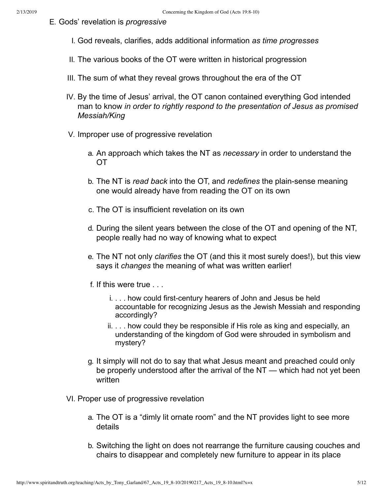- E. Gods' revelation is *progressive*
	- I. God reveals, clarifies, adds additional information *as time progresses*
	- II. The various books of the OT were written in historical progression
	- III. The sum of what they reveal grows throughout the era of the OT
	- IV. By the time of Jesus' arrival, the OT canon contained everything God intended man to know *in order to rightly respond to the presentation of Jesus as promised Messiah/King*
	- V. Improper use of progressive revelation
		- a. An approach which takes the NT as *necessary* in order to understand the OT
		- b. The NT is *read back* into the OT, and *redefines* the plain-sense meaning one would already have from reading the OT on its own
		- c. The OT is insufficient revelation on its own
		- d. During the silent years between the close of the OT and opening of the NT, people really had no way of knowing what to expect
		- e. The NT not only *clarifies* the OT (and this it most surely does!), but this view says it *changes* the meaning of what was written earlier!
		- f. If this were true . . .
			- $i. \ldots$  how could first-century hearers of John and Jesus be held accountable for recognizing Jesus as the Jewish Messiah and responding accordingly?
			- ii. . . . how could they be responsible if His role as king and especially, an understanding of the kingdom of God were shrouded in symbolism and mystery?
		- g. It simply will not do to say that what Jesus meant and preached could only be properly understood after the arrival of the NT — which had not yet been written
	- VI. Proper use of progressive revelation
		- a. The OT is a "dimly lit ornate room" and the NT provides light to see more details
		- b. Switching the light on does not rearrange the furniture causing couches and chairs to disappear and completely new furniture to appear in its place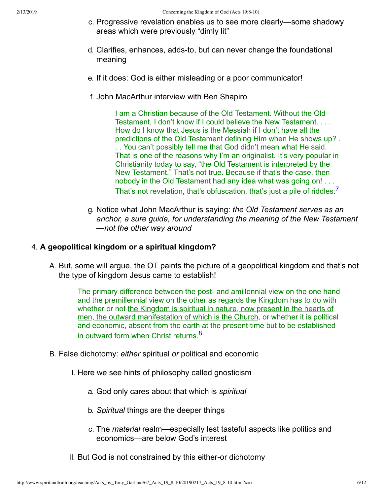- c. Progressive revelation enables us to see more clearly—some shadowy areas which were previously "dimly lit"
- d. Clarifies, enhances, adds-to, but can never change the foundational meaning
- e. If it does: God is either misleading or a poor communicator!
- f. John MacArthur interview with Ben Shapiro

<span id="page-5-0"></span>I am a Christian because of the Old Testament. Without the Old Testament, I don't know if I could believe the New Testament. . . . How do I know that Jesus is the Messiah if I don't have all the predictions of the Old Testament defining Him when He shows up? . . . You can't possibly tell me that God didn't mean what He said. That is one of the reasons why I'm an originalist. It's very popular in Christianity today to say, "the Old Testament is interpreted by the New Testament." That's not true. Because if that's the case, then nobody in the Old Testament had any idea what was going on! . . . That's not revelation, that's obfuscation, that's just a pile of riddles.<sup>[7](#page-11-8)</sup>

g. Notice what John MacArthur is saying: *the Old Testament serves as an anchor, a sure guide, for understanding the meaning of the New Testament —not the other way around*

### 4. **A geopolitical kingdom or a spiritual kingdom?**

A. But, some will argue, the OT paints the picture of a geopolitical kingdom and that's not the type of kingdom Jesus came to establish!

<span id="page-5-1"></span>The primary difference between the post- and amillennial view on the one hand and the premillennial view on the other as regards the Kingdom has to do with whether or not the Kingdom is spiritual in nature, now present in the hearts of men, the outward manifestation of which is the Church, or whether it is political and economic, absent from the earth at the present time but to be established in outward form when Christ returns.<sup>[8](#page-11-9)</sup>

- B. False dichotomy: *either* spiritual *or* political and economic
	- I. Here we see hints of philosophy called gnosticism
		- a. God only cares about that which is *spiritual*
		- b. *Spiritual* things are the deeper things
		- c. The *material* realm—especially lest tasteful aspects like politics and economics—are below God's interest
	- II. But God is not constrained by this either-or dichotomy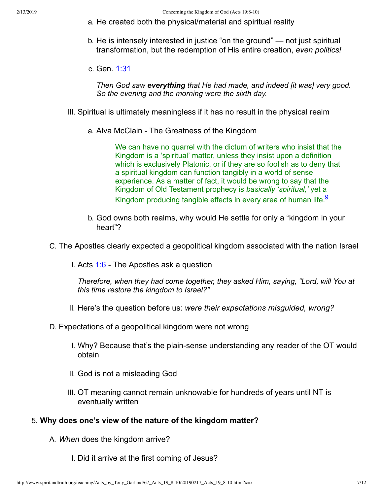- a. He created both the physical/material and spiritual reality
- b. He is intensely interested in justice "on the ground" not just spiritual transformation, but the redemption of His entire creation, *even politics!*
- c. Gen. [1:31](http://www.spiritandtruth.org/bibles/nasb/b01c001.htm#Gen._C1V31)

*Then God saw everything that He had made, and indeed [it was] very good. So the evening and the morning were the sixth day.*

- III. Spiritual is ultimately meaningless if it has no result in the physical realm
	- a. Alva McClain The Greatness of the Kingdom

<span id="page-6-0"></span>We can have no quarrel with the dictum of writers who insist that the Kingdom is a 'spiritual' matter, unless they insist upon a definition which is exclusively Platonic, or if they are so foolish as to deny that a spiritual kingdom can function tangibly in a world of sense experience. As a matter of fact, it would be wrong to say that the Kingdom of Old Testament prophecy is *basically 'spiritual,'* yet a Kingdom producing tangible effects in every area of human life.<sup>[9](#page-11-10)</sup>

- b. God owns both realms, why would He settle for only a "kingdom in your heart"?
- C. The Apostles clearly expected a geopolitical kingdom associated with the nation Israel
	- I. Acts [1:6](http://www.spiritandtruth.org/bibles/nasb/b44c001.htm#Acts_C1V6) The Apostles ask a question

*Therefore, when they had come together, they asked Him, saying, "Lord, will You at this time restore the kingdom to Israel?"*

- II. Here's the question before us: *were their expectations misguided, wrong?*
- D. Expectations of a geopolitical kingdom were not wrong
	- I. Why? Because that's the plain-sense understanding any reader of the OT would obtain
	- II. God is not a misleading God
	- III. OT meaning cannot remain unknowable for hundreds of years until NT is eventually written

#### 5. **Why does one's view of the nature of the kingdom matter?**

- A. *When* does the kingdom arrive?
	- I. Did it arrive at the first coming of Jesus?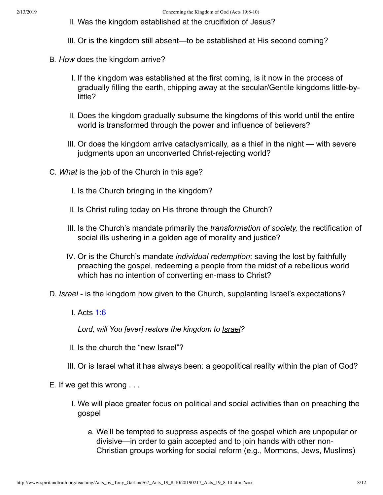- II. Was the kingdom established at the crucifixion of Jesus?
- III. Or is the kingdom still absent—to be established at His second coming?
- B. *How* does the kingdom arrive?
	- I. If the kingdom was established at the first coming, is it now in the process of gradually filling the earth, chipping away at the secular/Gentile kingdoms little-bylittle?
	- II. Does the kingdom gradually subsume the kingdoms of this world until the entire world is transformed through the power and influence of believers?
	- III. Or does the kingdom arrive cataclysmically, as a thief in the night with severe judgments upon an unconverted Christ-rejecting world?
- C. *What* is the job of the Church in this age?
	- I. Is the Church bringing in the kingdom?
	- II. Is Christ ruling today on His throne through the Church?
	- III. Is the Church's mandate primarily the *transformation of society,* the rectification of social ills ushering in a golden age of morality and justice?
	- IV. Or is the Church's mandate *individual redemption*: saving the lost by faithfully preaching the gospel, redeeming a people from the midst of a rebellious world which has no intention of converting en-mass to Christ?
- D. *Israel* is the kingdom now given to the Church, supplanting Israel's expectations?
	- I. Acts [1:6](http://www.spiritandtruth.org/bibles/nasb/b44c001.htm#Acts_C1V6)

*Lord, will You [ever] restore the kingdom to Israel?*

- II. Is the church the "new Israel"?
- III. Or is Israel what it has always been: a geopolitical reality within the plan of God?
- E. If we get this wrong . . .
	- I. We will place greater focus on political and social activities than on preaching the gospel
		- a. We'll be tempted to suppress aspects of the gospel which are unpopular or divisive—in order to gain accepted and to join hands with other non-Christian groups working for social reform (e.g., Mormons, Jews, Muslims)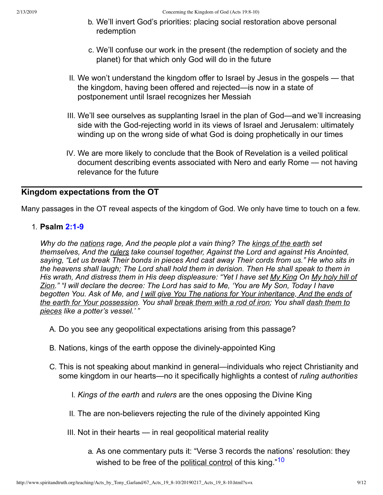- b. We'll invert God's priorities: placing social restoration above personal redemption
- c. We'll confuse our work in the present (the redemption of society and the planet) for that which only God will do in the future
- II. We won't understand the kingdom offer to Israel by Jesus in the gospels that the kingdom, having been offered and rejected—is now in a state of postponement until Israel recognizes her Messiah
- III. We'll see ourselves as supplanting Israel in the plan of God—and we'll increasing side with the God-rejecting world in its views of Israel and Jerusalem: ultimately winding up on the wrong side of what God is doing prophetically in our times
- IV. We are more likely to conclude that the Book of Revelation is a veiled political document describing events associated with Nero and early Rome — not having relevance for the future

# **Kingdom expectations from the OT**

Many passages in the OT reveal aspects of the kingdom of God. We only have time to touch on a few.

# 1. **Psalm [2:19](http://www.spiritandtruth.org/bibles/nasb/b19c002.htm#Ps._C2V1)**

*Why do the nations rage, And the people plot a vain thing? The kings of the earth set themselves, And the rulers take counsel together, Against the Lord and against His Anointed, saying, "Let us break Their bonds in pieces And cast away Their cords from us." He who sits in the heavens shall laugh; The Lord shall hold them in derision. Then He shall speak to them in His wrath, And distress them in His deep displeasure: "Yet I have set My King On My holy hill of Zion." "I will declare the decree: The Lord has said to Me, 'You are My Son, Today I have begotten You. Ask of Me, and I will give You The nations for Your inheritance, And the ends of the earth for Your possession. You shall break them with a rod of iron; You shall dash them to pieces like a potter's vessel.' "*

- A. Do you see any geopolitical expectations arising from this passage?
- B. Nations, kings of the earth oppose the divinely-appointed King
- <span id="page-8-0"></span>C. This is not speaking about mankind in general—individuals who reject Christianity and some kingdom in our hearts—no it specifically highlights a contest of *ruling authorities*
	- I. *Kings of the earth* and *rulers* are the ones opposing the Divine King
	- II. The are non-believers rejecting the rule of the divinely appointed King
	- III. Not in their hearts in real geopolitical material reality
		- a. As one commentary puts it: "Verse 3 records the nations' resolution: they wished to be free of the <u>political control</u> of this king."<sup>[10](#page-11-11)</sup>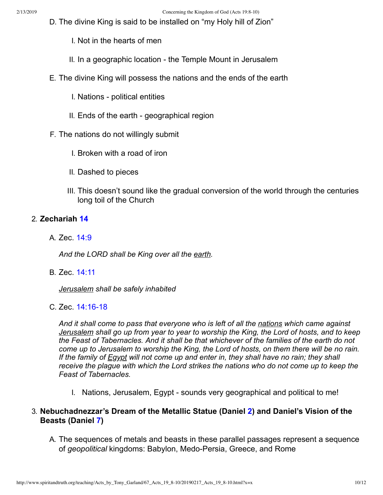- D. The divine King is said to be installed on "my Holy hill of Zion"
	- I. Not in the hearts of men
	- II. In a geographic location the Temple Mount in Jerusalem
- E. The divine King will possess the nations and the ends of the earth
	- I. Nations political entities
	- II. Ends of the earth geographical region
- F. The nations do not willingly submit
	- I. Broken with a road of iron
	- II. Dashed to pieces
	- III. This doesn't sound like the gradual conversion of the world through the centuries long toil of the Church

### 2. **Zechariah [14](http://www.spiritandtruth.org/bibles/nasb/b38c014.htm#Zec._C14V1)**

A. Zec. [14:9](http://www.spiritandtruth.org/bibles/nasb/b38c014.htm#Zec._C14V9)

*And the LORD shall be King over all the earth.*

B. Zec. [14:11](http://www.spiritandtruth.org/bibles/nasb/b38c014.htm#Zec._C14V11)

*Jerusalem shall be safely inhabited*

 $C.$  Zec.  $14:16-18$ 

*And it shall come to pass that everyone who is left of all the nations which came against Jerusalem shall go up from year to year to worship the King, the Lord of hosts, and to keep the Feast of Tabernacles. And it shall be that whichever of the families of the earth do not come up to Jerusalem to worship the King, the Lord of hosts, on them there will be no rain. If the family of Egypt will not come up and enter in, they shall have no rain; they shall receive the plague with which the Lord strikes the nations who do not come up to keep the Feast of Tabernacles.*

- I. Nations, Jerusalem, Egypt sounds very geographical and political to me!
- 3. **Nebuchadnezzar's Dream of the Metallic Statue (Daniel [2](http://www.spiritandtruth.org/bibles/nasb/b27c002.htm#Dan._C2V1)) and Daniel's Vision of the Beasts (Daniel [7\)](http://www.spiritandtruth.org/bibles/nasb/b27c007.htm#Dan._C7V1)**
	- A. The sequences of metals and beasts in these parallel passages represent a sequence of *geopolitical* kingdoms: Babylon, Medo-Persia, Greece, and Rome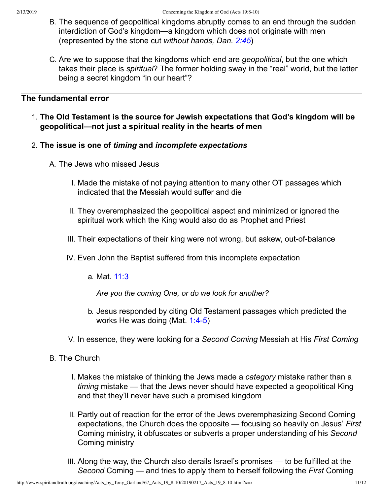- B. The sequence of geopolitical kingdoms abruptly comes to an end through the sudden interdiction of God's kingdom—a kingdom which does not originate with men (represented by the stone cut *without hands, Dan. [2:45](http://www.spiritandtruth.org/bibles/nasb/b27c002.htm#Dan._C2V45)*)
- C. Are we to suppose that the kingdoms which end are *geopolitical*, but the one which takes their place is *spiritual*? The former holding sway in the "real" world, but the latter being a secret kingdom "in our heart"?

# **The fundamental error**

- 1. **The Old Testament is the source for Jewish expectations that God's kingdom will be geopolitical—not just a spiritual reality in the hearts of men**
- 2. **The issue is one of** *timing* **and** *incomplete expectations*
	- A. The Jews who missed Jesus
		- I. Made the mistake of not paying attention to many other OT passages which indicated that the Messiah would suffer and die
		- II. They overemphasized the geopolitical aspect and minimized or ignored the spiritual work which the King would also do as Prophet and Priest
		- III. Their expectations of their king were not wrong, but askew, out-of-balance
		- IV. Even John the Baptist suffered from this incomplete expectation
			- a. Mat. [11:3](http://www.spiritandtruth.org/bibles/nasb/b40c011.htm#Mat._C11V3)

*Are you the coming One, or do we look for another?*

- b. Jesus responded by citing Old Testament passages which predicted the works He was doing (Mat. 1:4-5)
- V. In essence, they were looking for a *Second Coming* Messiah at His *First Coming*
- B. The Church
	- I. Makes the mistake of thinking the Jews made a *category* mistake rather than a *timing* mistake — that the Jews never should have expected a geopolitical King and that they'll never have such a promised kingdom
	- II. Partly out of reaction for the error of the Jews overemphasizing Second Coming expectations, the Church does the opposite — focusing so heavily on Jesus' *First* Coming ministry, it obfuscates or subverts a proper understanding of his *Second* Coming ministry
	- III. Along the way, the Church also derails Israel's promises to be fulfilled at the *Second* Coming — and tries to apply them to herself following the *First* Coming